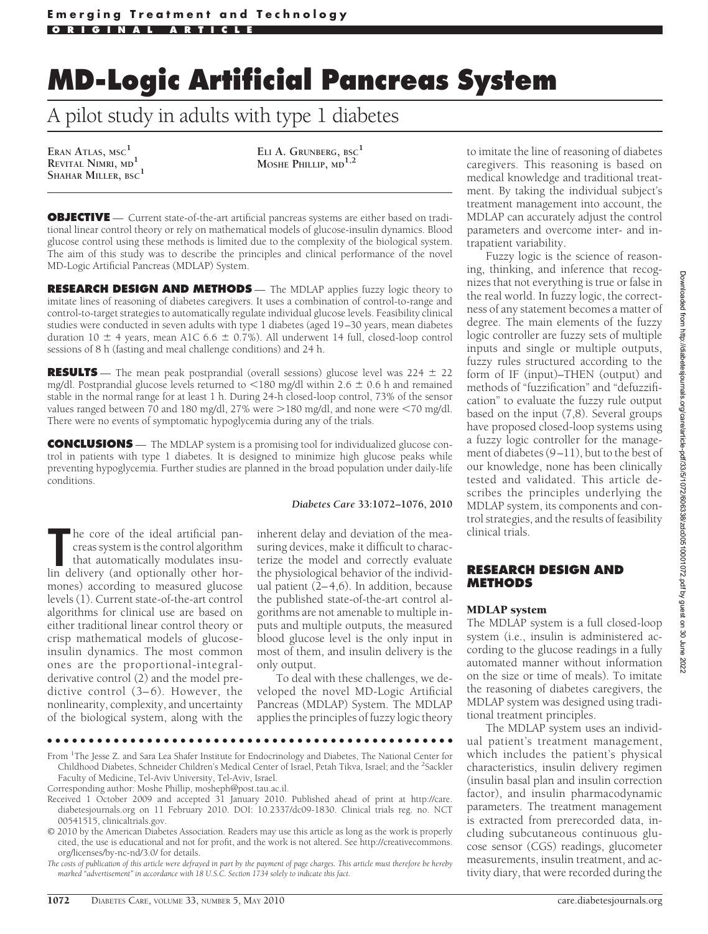# **MD-Logic Artificial Pancreas System**

# A pilot study in adults with type 1 diabetes

**ERAN ATLAS, MSC<sup>1</sup> REVITAL NIMRI, MD<sup>1</sup> SHAHAR MILLER, BSC<sup>1</sup>** **ELI A. GRUNBERG, BSC<sup>1</sup> MOSHE PHILLIP, MD1,2**

**OBJECTIVE** — Current state-of-the-art artificial pancreas systems are either based on traditional linear control theory or rely on mathematical models of glucose-insulin dynamics. Blood glucose control using these methods is limited due to the complexity of the biological system. The aim of this study was to describe the principles and clinical performance of the novel MD-Logic Artificial Pancreas (MDLAP) System.

**RESEARCH DESIGN AND METHODS** — The MDLAP applies fuzzy logic theory to imitate lines of reasoning of diabetes caregivers. It uses a combination of control-to-range and control-to-target strategies to automatically regulate individual glucose levels. Feasibility clinical studies were conducted in seven adults with type 1 diabetes (aged 19–30 years, mean diabetes duration 10  $\pm$  4 years, mean A1C 6.6  $\pm$  0.7%). All underwent 14 full, closed-loop control sessions of 8 h (fasting and meal challenge conditions) and 24 h.

**RESULTS** — The mean peak postprandial (overall sessions) glucose level was  $224 \pm 22$ mg/dl. Postprandial glucose levels returned to  $\leq$ 180 mg/dl within 2.6  $\pm$  0.6 h and remained stable in the normal range for at least 1 h. During 24-h closed-loop control, 73% of the sensor values ranged between 70 and 180 mg/dl, 27% were >180 mg/dl, and none were <70 mg/dl. There were no events of symptomatic hypoglycemia during any of the trials.

**CONCLUSIONS** — The MDLAP system is a promising tool for individualized glucose control in patients with type 1 diabetes. It is designed to minimize high glucose peaks while preventing hypoglycemia. Further studies are planned in the broad population under daily-life conditions.

### *Diabetes Care* **33:1072–1076, 2010**

The core of the ideal artificial pancreas system is the control algorithm<br>that automatically modulates insu-<br>lin delivery (and optionally other horhe core of the ideal artificial pancreas system is the control algorithm that automatically modulates insumones) according to measured glucose levels (1). Current state-of-the-art control algorithms for clinical use are based on either traditional linear control theory or crisp mathematical models of glucoseinsulin dynamics. The most common ones are the proportional-integralderivative control (2) and the model predictive control (3–6). However, the nonlinearity, complexity, and uncertainty of the biological system, along with the

inherent delay and deviation of the measuring devices, make it difficult to characterize the model and correctly evaluate the physiological behavior of the individual patient  $(2-4,6)$ . In addition, because the published state-of-the-art control algorithms are not amenable to multiple inputs and multiple outputs, the measured blood glucose level is the only input in most of them, and insulin delivery is the only output.

To deal with these challenges, we developed the novel MD-Logic Artificial Pancreas (MDLAP) System. The MDLAP applies the principles of fuzzy logic theory

●●●●●●●●●●●●●●●●●●●●●●●●●●●●●●●●●●●●●●●●●●●●●●●●●

From <sup>1</sup>The Jesse Z. and Sara Lea Shafer Institute for Endocrinology and Diabetes, The National Center for Childhood Diabetes, Schneider Children's Medical Center of Israel, Petah Tikva, Israel; and the <sup>2</sup>Sackler Faculty of Medicine, Tel-Aviv University, Tel-Aviv, Israel.

Corresponding author: Moshe Phillip, mosheph@post.tau.ac.il.

- Received 1 October 2009 and accepted 31 January 2010. Published ahead of print at http://care. diabetesjournals.org on 11 February 2010. DOI: 10.2337/dc09-1830. Clinical trials reg. no. NCT 00541515, clinicaltrials.gov.
- © 2010 by the American Diabetes Association. Readers may use this article as long as the work is properly cited, the use is educational and not for profit, and the work is not altered. See http://creativecommons. org/licenses/by-nc-nd/3.0/ for details.

*The costs of publication of this article were defrayed in part by the payment of page charges. This article must therefore be hereby marked "advertisement" in accordance with 18 U.S.C. Section 1734 solely to indicate this fact.*

to imitate the line of reasoning of diabetes caregivers. This reasoning is based on medical knowledge and traditional treatment. By taking the individual subject's treatment management into account, the MDLAP can accurately adjust the control parameters and overcome inter- and intrapatient variability.

Fuzzy logic is the science of reasoning, thinking, and inference that recognizes that not everything is true or false in the real world. In fuzzy logic, the correctness of any statement becomes a matter of degree. The main elements of the fuzzy logic controller are fuzzy sets of multiple inputs and single or multiple outputs, fuzzy rules structured according to the form of IF (input)–THEN (output) and methods of "fuzzification" and "defuzzification" to evaluate the fuzzy rule output based on the input (7,8). Several groups have proposed closed-loop systems using a fuzzy logic controller for the management of diabetes (9–11), but to the best of our knowledge, none has been clinically tested and validated. This article describes the principles underlying the MDLAP system, its components and control strategies, and the results of feasibility clinical trials.

# **RESEARCH DESIGN AND METHODS**

### MDLAP system

The MDLAP system is a full closed-loop system (i.e., insulin is administered according to the glucose readings in a fully automated manner without information on the size or time of meals). To imitate the reasoning of diabetes caregivers, the MDLAP system was designed using traditional treatment principles.

The MDLAP system uses an individual patient's treatment management, which includes the patient's physical characteristics, insulin delivery regimen (insulin basal plan and insulin correction factor), and insulin pharmacodynamic parameters. The treatment management is extracted from prerecorded data, including subcutaneous continuous glucose sensor (CGS) readings, glucometer measurements, insulin treatment, and activity diary, that were recorded during the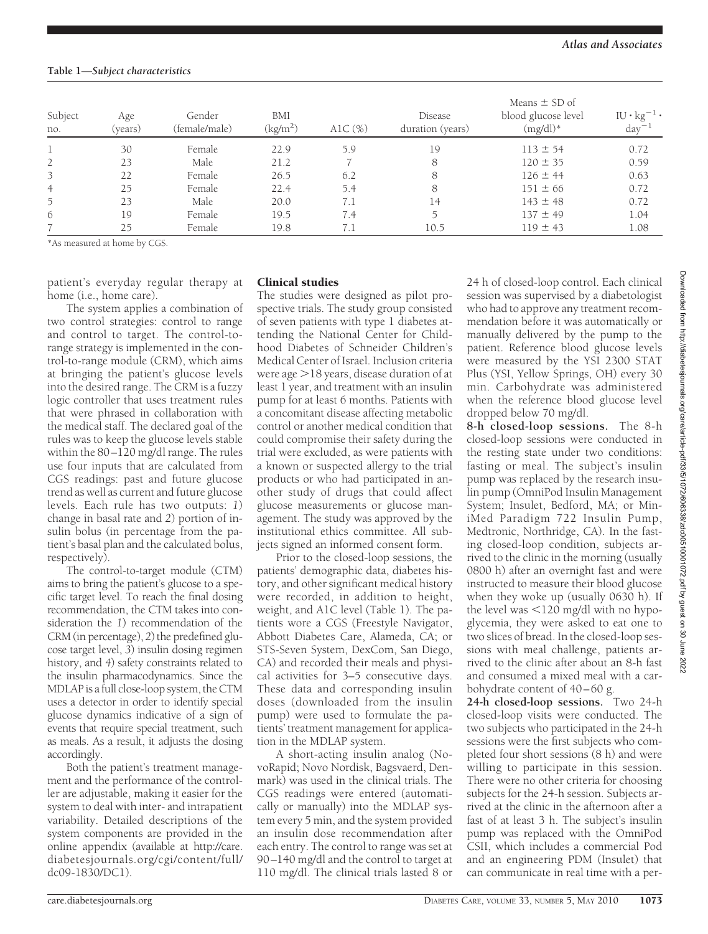# **Table 1—***Subject characteristics*

| Subject<br>no. | Age<br>(years) | Gender<br>(female/male) | BMI<br>$\text{(kg/m}^2)$ | AlC $(\%)$ | Disease<br>duration (years) | Means $\pm$ SD of<br>blood glucose level<br>$(mg/dl)^*$ | $IU \cdot kg^{-1}$ .<br>$day^{-1}$ |
|----------------|----------------|-------------------------|--------------------------|------------|-----------------------------|---------------------------------------------------------|------------------------------------|
|                | 30             | Female                  | 22.9                     | 5.9        | 19                          | $113 \pm 54$                                            | 0.72                               |
|                | 23             | Male                    | 21.2                     |            | 8                           | $120 \pm 35$                                            | 0.59                               |
| 3              | 22             | Female                  | 26.5                     | 6.2        | 8                           | $126 \pm 44$                                            | 0.63                               |
| $\overline{4}$ | 25             | Female                  | 22.4                     | 5.4        | 8                           | $151 \pm 66$                                            | 0.72                               |
| 5              | 23             | Male                    | 20.0                     | 7.1        | 14                          | $143 \pm 48$                                            | 0.72                               |
| 6              | 19             | Female                  | 19.5                     | 7.4        |                             | $137 \pm 49$                                            | 1.04                               |
|                | 25             | Female                  | 19.8                     | 7.1        | 10.5                        | $119 \pm 43$                                            | 1.08                               |

\*As measured at home by CGS.

patient's everyday regular therapy at home (i.e., home care).

The system applies a combination of two control strategies: control to range and control to target. The control-torange strategy is implemented in the control-to-range module (CRM), which aims at bringing the patient's glucose levels into the desired range. The CRM is a fuzzy logic controller that uses treatment rules that were phrased in collaboration with the medical staff. The declared goal of the rules was to keep the glucose levels stable within the 80–120 mg/dl range. The rules use four inputs that are calculated from CGS readings: past and future glucose trend as well as current and future glucose levels. Each rule has two outputs: *1*) change in basal rate and *2*) portion of insulin bolus (in percentage from the patient's basal plan and the calculated bolus, respectively).

The control-to-target module (CTM) aims to bring the patient's glucose to a specific target level. To reach the final dosing recommendation, the CTM takes into consideration the *1*) recommendation of the CRM (in percentage), *2*) the predefined glucose target level, *3*) insulin dosing regimen history, and *4*) safety constraints related to the insulin pharmacodynamics. Since the MDLAP is a full close-loop system, the CTM uses a detector in order to identify special glucose dynamics indicative of a sign of events that require special treatment, such as meals. As a result, it adjusts the dosing accordingly.

Both the patient's treatment management and the performance of the controller are adjustable, making it easier for the system to deal with inter- and intrapatient variability. Detailed descriptions of the system components are provided in the online appendix (available at http://care. diabetesjournals.org/cgi/content/full/ dc09-1830/DC1).

# Clinical studies

The studies were designed as pilot prospective trials. The study group consisted of seven patients with type 1 diabetes attending the National Center for Childhood Diabetes of Schneider Children's Medical Center of Israel. Inclusion criteria were age  $>18$  years, disease duration of at least 1 year, and treatment with an insulin pump for at least 6 months. Patients with a concomitant disease affecting metabolic control or another medical condition that could compromise their safety during the trial were excluded, as were patients with a known or suspected allergy to the trial products or who had participated in another study of drugs that could affect glucose measurements or glucose management. The study was approved by the institutional ethics committee. All subjects signed an informed consent form.

Prior to the closed-loop sessions, the patients' demographic data, diabetes history, and other significant medical history were recorded, in addition to height, weight, and A1C level (Table 1). The patients wore a CGS (Freestyle Navigator, Abbott Diabetes Care, Alameda, CA; or STS-Seven System, DexCom, San Diego, CA) and recorded their meals and physical activities for 3–5 consecutive days. These data and corresponding insulin doses (downloaded from the insulin pump) were used to formulate the patients' treatment management for application in the MDLAP system.

A short-acting insulin analog (NovoRapid; Novo Nordisk, Bagsvaerd, Denmark) was used in the clinical trials. The CGS readings were entered (automatically or manually) into the MDLAP system every 5 min, and the system provided an insulin dose recommendation after each entry. The control to range was set at 90–140 mg/dl and the control to target at 110 mg/dl. The clinical trials lasted 8 or

24 h of closed-loop control. Each clinical session was supervised by a diabetologist who had to approve any treatment recommendation before it was automatically or manually delivered by the pump to the patient. Reference blood glucose levels were measured by the YSI 2300 STAT Plus (YSI, Yellow Springs, OH) every 30 min. Carbohydrate was administered when the reference blood glucose level dropped below 70 mg/dl.

**8-h closed-loop sessions.** The 8-h closed-loop sessions were conducted in the resting state under two conditions: fasting or meal. The subject's insulin pump was replaced by the research insulin pump (OmniPod Insulin Management System; Insulet, Bedford, MA; or MiniMed Paradigm 722 Insulin Pump, Medtronic, Northridge, CA). In the fasting closed-loop condition, subjects arrived to the clinic in the morning (usually 0800 h) after an overnight fast and were instructed to measure their blood glucose when they woke up (usually 0630 h). If the level was  $\leq$ 120 mg/dl with no hypoglycemia, they were asked to eat one to two slices of bread. In the closed-loop sessions with meal challenge, patients arrived to the clinic after about an 8-h fast and consumed a mixed meal with a carbohydrate content of 40–60 g.

**24-h closed-loop sessions.** Two 24-h closed-loop visits were conducted. The two subjects who participated in the 24-h sessions were the first subjects who completed four short sessions (8 h) and were willing to participate in this session. There were no other criteria for choosing subjects for the 24-h session. Subjects arrived at the clinic in the afternoon after a fast of at least 3 h. The subject's insulin pump was replaced with the OmniPod CSII, which includes a commercial Pod and an engineering PDM (Insulet) that can communicate in real time with a per-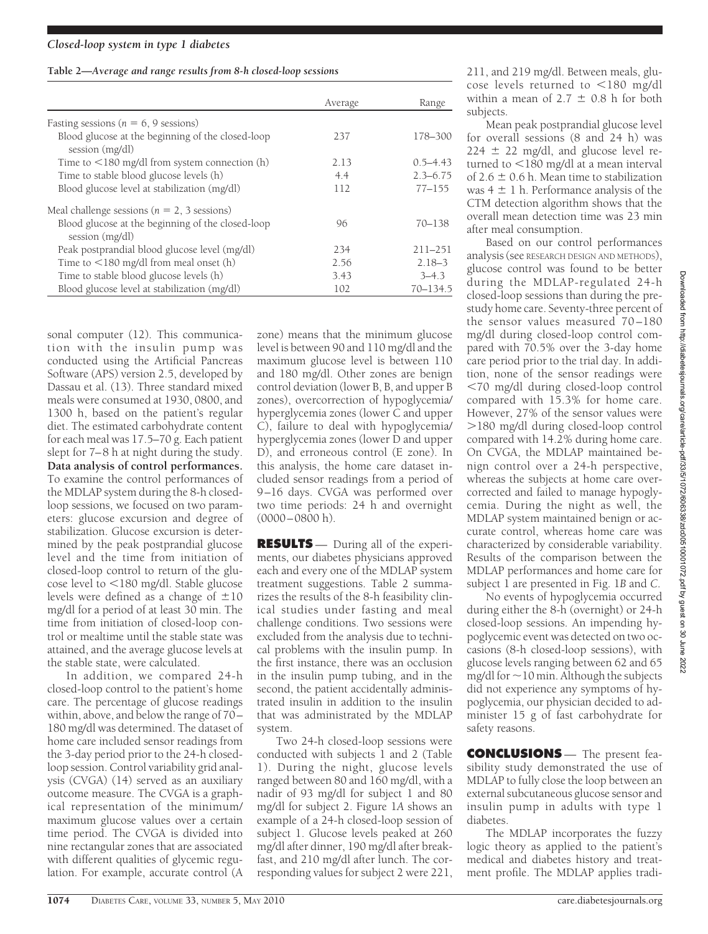# **Table 2—***Average and range results from 8-h closed-loop sessions*

|                                                                      | Average | Range        |
|----------------------------------------------------------------------|---------|--------------|
| Fasting sessions ( $n = 6, 9$ sessions)                              |         |              |
| Blood glucose at the beginning of the closed-loop<br>session (mg/dl) | 237     | 178–300      |
| Time to $\leq$ 180 mg/dl from system connection (h)                  | 2.13    | $0.5 - 4.43$ |
| Time to stable blood glucose levels (h)                              | 4.4     | $2.3 - 6.75$ |
| Blood glucose level at stabilization (mg/dl)                         | 112     | $77 - 155$   |
| Meal challenge sessions ( $n = 2, 3$ sessions)                       |         |              |
| Blood glucose at the beginning of the closed-loop<br>session (mg/dl) | 96      | $70 - 138$   |
| Peak postprandial blood glucose level (mg/dl)                        | 234     | $211 - 251$  |
| Time to $\leq$ 180 mg/dl from meal onset (h)                         | 2.56    | $2.18 - 3$   |
| Time to stable blood glucose levels (h)                              | 3.43    | $3 - 4.3$    |
| Blood glucose level at stabilization (mg/dl)                         | 102     | $70 - 134.5$ |

sonal computer (12). This communication with the insulin pump was conducted using the Artificial Pancreas Software (APS) version 2.5, developed by Dassau et al. (13). Three standard mixed meals were consumed at 1930, 0800, and 1300 h, based on the patient's regular diet. The estimated carbohydrate content for each meal was 17.5–70 g. Each patient slept for 7–8 h at night during the study. **Data analysis of control performances.** To examine the control performances of the MDLAP system during the 8-h closedloop sessions, we focused on two parameters: glucose excursion and degree of stabilization. Glucose excursion is determined by the peak postprandial glucose level and the time from initiation of closed-loop control to return of the glucose level to <180 mg/dl. Stable glucose levels were defined as a change of  $\pm 10$ mg/dl for a period of at least 30 min. The time from initiation of closed-loop control or mealtime until the stable state was attained, and the average glucose levels at the stable state, were calculated.

In addition, we compared 24-h closed-loop control to the patient's home care. The percentage of glucose readings within, above, and below the range of 70– 180 mg/dl was determined. The dataset of home care included sensor readings from the 3-day period prior to the 24-h closedloop session. Control variability grid analysis (CVGA) (14) served as an auxiliary outcome measure. The CVGA is a graphical representation of the minimum/ maximum glucose values over a certain time period. The CVGA is divided into nine rectangular zones that are associated with different qualities of glycemic regulation. For example, accurate control (A

zone) means that the minimum glucose level is between 90 and 110 mg/dl and the maximum glucose level is between 110 and 180 mg/dl. Other zones are benign control deviation (lower B, B, and upper B zones), overcorrection of hypoglycemia/ hyperglycemia zones (lower C and upper C), failure to deal with hypoglycemia/ hyperglycemia zones (lower D and upper D), and erroneous control (E zone). In this analysis, the home care dataset included sensor readings from a period of 9–16 days. CVGA was performed over two time periods: 24 h and overnight  $(0000 - 0800 h)$ .

**RESULTS** — During all of the experiments, our diabetes physicians approved each and every one of the MDLAP system treatment suggestions. Table 2 summarizes the results of the 8-h feasibility clinical studies under fasting and meal challenge conditions. Two sessions were excluded from the analysis due to technical problems with the insulin pump. In the first instance, there was an occlusion in the insulin pump tubing, and in the second, the patient accidentally administrated insulin in addition to the insulin that was administrated by the MDLAP system.

Two 24-h closed-loop sessions were conducted with subjects 1 and 2 (Table 1). During the night, glucose levels ranged between 80 and 160 mg/dl, with a nadir of 93 mg/dl for subject 1 and 80 mg/dl for subject 2. Figure 1*A* shows an example of a 24-h closed-loop session of subject 1. Glucose levels peaked at 260 mg/dl after dinner, 190 mg/dl after breakfast, and 210 mg/dl after lunch. The corresponding values for subject 2 were 221,

211, and 219 mg/dl. Between meals, glucose levels returned to  $\leq$ 180 mg/dl within a mean of  $2.7 \pm 0.8$  h for both subjects.

Mean peak postprandial glucose level for overall sessions (8 and 24 h) was  $224 \pm 22$  mg/dl, and glucose level returned to  $<$ 180 mg/dl at a mean interval of 2.6  $\pm$  0.6 h. Mean time to stabilization was  $4 \pm 1$  h. Performance analysis of the CTM detection algorithm shows that the overall mean detection time was 23 min after meal consumption.

Based on our control performances analysis (see RESEARCH DESIGN AND METHODS), glucose control was found to be better during the MDLAP-regulated 24-h closed-loop sessions than during the prestudy home care. Seventy-three percent of the sensor values measured 70–180 mg/dl during closed-loop control compared with 70.5% over the 3-day home care period prior to the trial day. In addition, none of the sensor readings were -70 mg/dl during closed-loop control compared with 15.3% for home care. However, 27% of the sensor values were 180 mg/dl during closed-loop control compared with 14.2% during home care. On CVGA, the MDLAP maintained benign control over a 24-h perspective, whereas the subjects at home care overcorrected and failed to manage hypoglycemia. During the night as well, the MDLAP system maintained benign or accurate control, whereas home care was characterized by considerable variability. Results of the comparison between the MDLAP performances and home care for subject 1 are presented in Fig. 1*B* and *C*.

No events of hypoglycemia occurred during either the 8-h (overnight) or 24-h closed-loop sessions. An impending hypoglycemic event was detected on two occasions (8-h closed-loop sessions), with glucose levels ranging between 62 and 65 mg/dl for  $\sim$  10 min. Although the subjects did not experience any symptoms of hypoglycemia, our physician decided to administer 15 g of fast carbohydrate for safety reasons.

**CONCLUSIONS** — The present feasibility study demonstrated the use of MDLAP to fully close the loop between an external subcutaneous glucose sensor and insulin pump in adults with type 1 diabetes.

The MDLAP incorporates the fuzzy logic theory as applied to the patient's medical and diabetes history and treatment profile. The MDLAP applies tradi-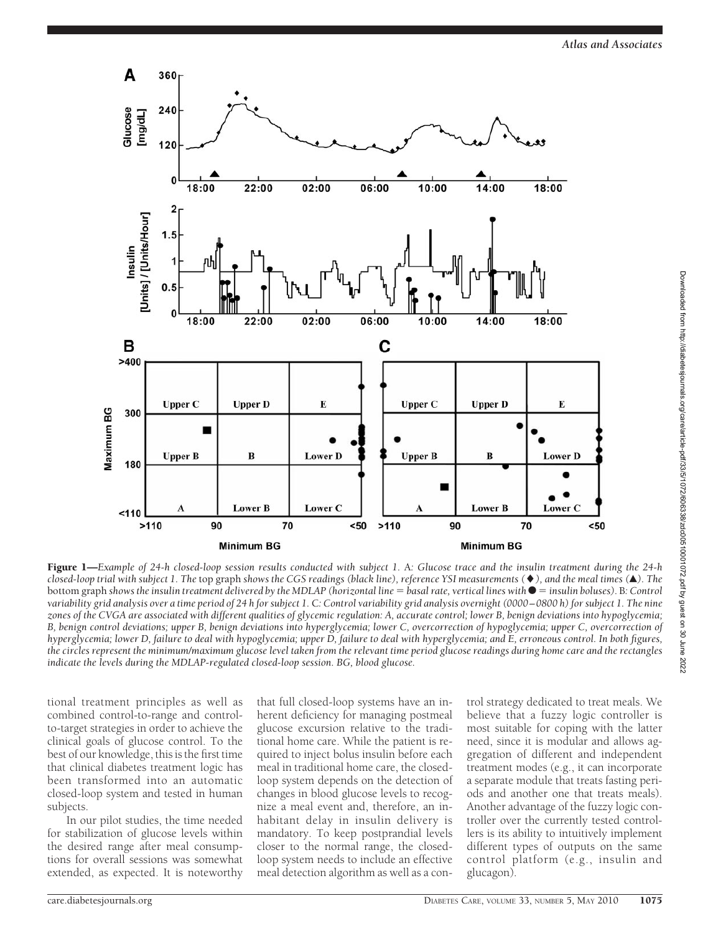

Figure 1—*Example of 24-h closed-loop session results conducted with subject 1.* A*: Glucose trace and the insulin treatment during the 24-h closed-loop trial with subject 1. The top graph shows the CGS readings (black line), reference YSI measurements (♦), and the meal times (▲). The* bottom graph *shows the insulin treatment delivered by the MDLAP (horizontal line basal rate, vertical lines with* F *insulin boluses).* B*: Control variability grid analysis over a time period of 24 h for subject 1.* C*: Control variability grid analysis overnight (0000–0800 h) for subject 1. The nine zones of the CVGA are associated with different qualities of glycemic regulation: A, accurate control; lower B, benign deviations into hypoglycemia; B, benign control deviations; upper B, benign deviations into hyperglycemia; lower C, overcorrection of hypoglycemia; upper C, overcorrection of hyperglycemia; lower D, failure to deal with hypoglycemia; upper D, failure to deal with hyperglycemia; and E, erroneous control. In both figures, the circles represent the minimum/maximum glucose level taken from the relevant time period glucose readings during home care and the rectangles indicate the levels during the MDLAP-regulated closed-loop session. BG, blood glucose.*

tional treatment principles as well as combined control-to-range and controlto-target strategies in order to achieve the clinical goals of glucose control. To the best of our knowledge, this is the first time that clinical diabetes treatment logic has been transformed into an automatic closed-loop system and tested in human subjects.

In our pilot studies, the time needed for stabilization of glucose levels within the desired range after meal consumptions for overall sessions was somewhat extended, as expected. It is noteworthy

that full closed-loop systems have an inherent deficiency for managing postmeal glucose excursion relative to the traditional home care. While the patient is required to inject bolus insulin before each meal in traditional home care, the closedloop system depends on the detection of changes in blood glucose levels to recognize a meal event and, therefore, an inhabitant delay in insulin delivery is mandatory. To keep postprandial levels closer to the normal range, the closedloop system needs to include an effective meal detection algorithm as well as a con-

trol strategy dedicated to treat meals. We believe that a fuzzy logic controller is most suitable for coping with the latter need, since it is modular and allows aggregation of different and independent treatment modes (e.g., it can incorporate a separate module that treats fasting periods and another one that treats meals). Another advantage of the fuzzy logic controller over the currently tested controllers is its ability to intuitively implement different types of outputs on the same control platform (e.g., insulin and glucagon).